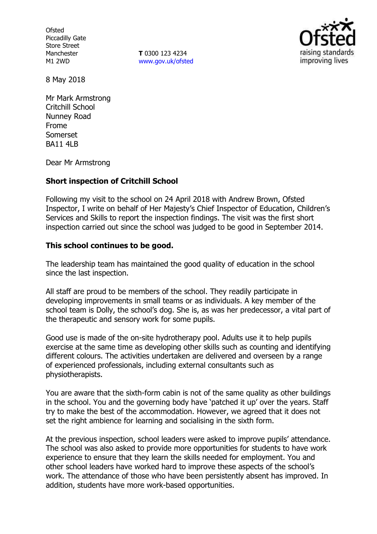**Ofsted** Piccadilly Gate Store Street Manchester M1 2WD

**T** 0300 123 4234 www.gov.uk/ofsted



8 May 2018

Mr Mark Armstrong Critchill School Nunney Road Frome Somerset BA11 4LB

Dear Mr Armstrong

## **Short inspection of Critchill School**

Following my visit to the school on 24 April 2018 with Andrew Brown, Ofsted Inspector, I write on behalf of Her Majesty's Chief Inspector of Education, Children's Services and Skills to report the inspection findings. The visit was the first short inspection carried out since the school was judged to be good in September 2014.

## **This school continues to be good.**

The leadership team has maintained the good quality of education in the school since the last inspection.

All staff are proud to be members of the school. They readily participate in developing improvements in small teams or as individuals. A key member of the school team is Dolly, the school's dog. She is, as was her predecessor, a vital part of the therapeutic and sensory work for some pupils.

Good use is made of the on-site hydrotherapy pool. Adults use it to help pupils exercise at the same time as developing other skills such as counting and identifying different colours. The activities undertaken are delivered and overseen by a range of experienced professionals, including external consultants such as physiotherapists.

You are aware that the sixth-form cabin is not of the same quality as other buildings in the school. You and the governing body have 'patched it up' over the years. Staff try to make the best of the accommodation. However, we agreed that it does not set the right ambience for learning and socialising in the sixth form.

At the previous inspection, school leaders were asked to improve pupils' attendance. The school was also asked to provide more opportunities for students to have work experience to ensure that they learn the skills needed for employment. You and other school leaders have worked hard to improve these aspects of the school's work. The attendance of those who have been persistently absent has improved. In addition, students have more work-based opportunities.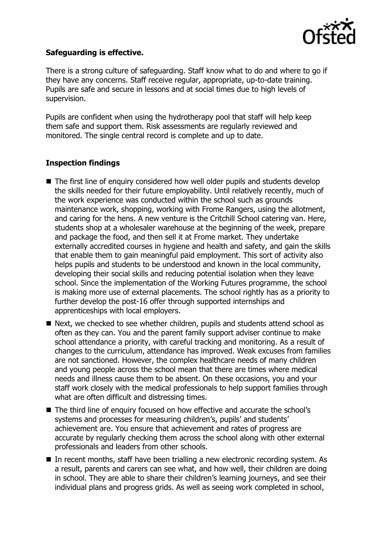

## **Safeguarding is effective.**

There is a strong culture of safeguarding. Staff know what to do and where to go if they have any concerns. Staff receive regular, appropriate, up-to-date training. Pupils are safe and secure in lessons and at social times due to high levels of supervision.

Pupils are confident when using the hydrotherapy pool that staff will help keep them safe and support them. Risk assessments are regularly reviewed and monitored. The single central record is complete and up to date.

## **Inspection findings**

- The first line of enquiry considered how well older pupils and students develop the skills needed for their future employability. Until relatively recently, much of the work experience was conducted within the school such as grounds maintenance work, shopping, working with Frome Rangers, using the allotment, and caring for the hens. A new venture is the Critchill School catering van. Here, students shop at a wholesaler warehouse at the beginning of the week, prepare and package the food, and then sell it at Frome market. They undertake externally accredited courses in hygiene and health and safety, and gain the skills that enable them to gain meaningful paid employment. This sort of activity also helps pupils and students to be understood and known in the local community, developing their social skills and reducing potential isolation when they leave school. Since the implementation of the Working Futures programme, the school is making more use of external placements. The school rightly has as a priority to further develop the post-16 offer through supported internships and apprenticeships with local employers.
- Next, we checked to see whether children, pupils and students attend school as often as they can. You and the parent family support adviser continue to make school attendance a priority, with careful tracking and monitoring. As a result of changes to the curriculum, attendance has improved. Weak excuses from families are not sanctioned. However, the complex healthcare needs of many children and young people across the school mean that there are times where medical needs and illness cause them to be absent. On these occasions, you and your staff work closely with the medical professionals to help support families through what are often difficult and distressing times.
- The third line of enquiry focused on how effective and accurate the school's systems and processes for measuring children's, pupils' and students' achievement are. You ensure that achievement and rates of progress are accurate by regularly checking them across the school along with other external professionals and leaders from other schools.
- In recent months, staff have been trialling a new electronic recording system. As a result, parents and carers can see what, and how well, their children are doing in school. They are able to share their children's learning journeys, and see their individual plans and progress grids. As well as seeing work completed in school,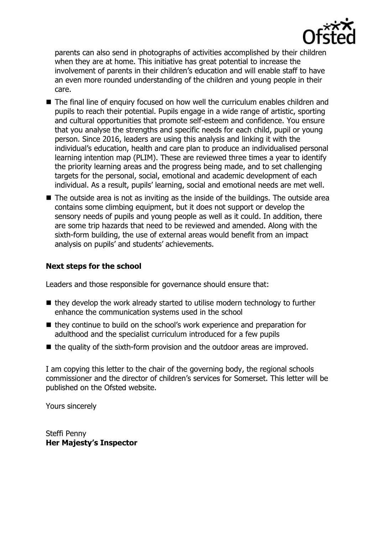

parents can also send in photographs of activities accomplished by their children when they are at home. This initiative has great potential to increase the involvement of parents in their children's education and will enable staff to have an even more rounded understanding of the children and young people in their care.

- The final line of enquiry focused on how well the curriculum enables children and pupils to reach their potential. Pupils engage in a wide range of artistic, sporting and cultural opportunities that promote self-esteem and confidence. You ensure that you analyse the strengths and specific needs for each child, pupil or young person. Since 2016, leaders are using this analysis and linking it with the individual's education, health and care plan to produce an individualised personal learning intention map (PLIM). These are reviewed three times a year to identify the priority learning areas and the progress being made, and to set challenging targets for the personal, social, emotional and academic development of each individual. As a result, pupils' learning, social and emotional needs are met well.
- The outside area is not as inviting as the inside of the buildings. The outside area contains some climbing equipment, but it does not support or develop the sensory needs of pupils and young people as well as it could. In addition, there are some trip hazards that need to be reviewed and amended. Along with the sixth-form building, the use of external areas would benefit from an impact analysis on pupils' and students' achievements.

# **Next steps for the school**

Leaders and those responsible for governance should ensure that:

- $\blacksquare$  they develop the work already started to utilise modern technology to further enhance the communication systems used in the school
- they continue to build on the school's work experience and preparation for adulthood and the specialist curriculum introduced for a few pupils
- $\blacksquare$  the quality of the sixth-form provision and the outdoor areas are improved.

I am copying this letter to the chair of the governing body, the regional schools commissioner and the director of children's services for Somerset. This letter will be published on the Ofsted website.

Yours sincerely

Steffi Penny **Her Majesty's Inspector**